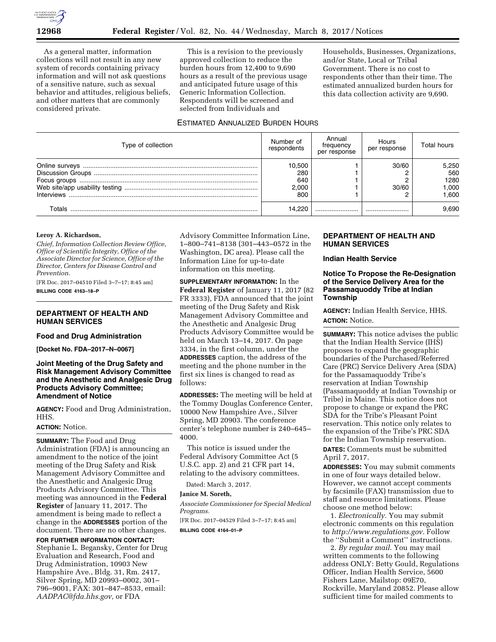

As a general matter, information collections will not result in any new system of records containing privacy information and will not ask questions of a sensitive nature, such as sexual behavior and attitudes, religious beliefs, and other matters that are commonly considered private.

This is a revision to the previously approved collection to reduce the burden hours from 12,400 to 9,690 hours as a result of the previous usage and anticipated future usage of this Generic Information Collection. Respondents will be screened and selected from Individuals and

ESTIMATED ANNUALIZED BURDEN HOURS

Households, Businesses, Organizations, and/or State, Local or Tribal Government. There is no cost to respondents other than their time. The estimated annualized burden hours for this data collection activity are 9,690.

| Type of collection | Number of<br>respondents             | Annual<br>frequency<br>per response | Hours<br>per response | Total hours                            |
|--------------------|--------------------------------------|-------------------------------------|-----------------------|----------------------------------------|
|                    | 10,500<br>280<br>640<br>2.000<br>800 |                                     | 30/60<br>30/60        | 5,250<br>560<br>1280<br>000,1<br>1.600 |
| Totals             | 14.220                               |                                     |                       | 9.690                                  |

## **Leroy A. Richardson,**

*Chief, Information Collection Review Office, Office of Scientific Integrity, Office of the Associate Director for Science, Office of the Director, Centers for Disease Control and Prevention.* 

[FR Doc. 2017–04510 Filed 3–7–17; 8:45 am] **BILLING CODE 4163–18–P** 

## **DEPARTMENT OF HEALTH AND HUMAN SERVICES**

### **Food and Drug Administration**

**[Docket No. FDA–2017–N–0067]** 

## **Joint Meeting of the Drug Safety and Risk Management Advisory Committee and the Anesthetic and Analgesic Drug Products Advisory Committee; Amendment of Notice**

**AGENCY:** Food and Drug Administration, HHS.

## **ACTION:** Notice.

**SUMMARY:** The Food and Drug Administration (FDA) is announcing an amendment to the notice of the joint meeting of the Drug Safety and Risk Management Advisory Committee and the Anesthetic and Analgesic Drug Products Advisory Committee. This meeting was announced in the **Federal Register** of January 11, 2017. The amendment is being made to reflect a change in the **ADDRESSES** portion of the document. There are no other changes.

**FOR FURTHER INFORMATION CONTACT:**  Stephanie L. Begansky, Center for Drug Evaluation and Research, Food and Drug Administration, 10903 New Hampshire Ave., Bldg. 31, Rm. 2417, Silver Spring, MD 20993-0002, 301-796–9001, FAX: 301–847–8533, email: *[AADPAC@fda.hhs.gov,](mailto:AADPAC@fda.hhs.gov)* or FDA

Advisory Committee Information Line, 1–800–741–8138 (301–443–0572 in the Washington, DC area). Please call the Information Line for up-to-date information on this meeting.

**SUPPLEMENTARY INFORMATION:** In the **Federal Register** of January 11, 2017 (82 FR 3333), FDA announced that the joint meeting of the Drug Safety and Risk Management Advisory Committee and the Anesthetic and Analgesic Drug Products Advisory Committee would be held on March 13–14, 2017. On page 3334, in the first column, under the **ADDRESSES** caption, the address of the meeting and the phone number in the first six lines is changed to read as follows:

**ADDRESSES:** The meeting will be held at the Tommy Douglas Conference Center, 10000 New Hampshire Ave., Silver Spring, MD 20903. The conference center's telephone number is 240–645– 4000.

This notice is issued under the Federal Advisory Committee Act (5 U.S.C. app. 2) and 21 CFR part 14, relating to the advisory committees.

Dated: March 3, 2017.

### **Janice M. Soreth,**

*Associate Commissioner for Special Medical Programs.* 

[FR Doc. 2017–04529 Filed 3–7–17; 8:45 am]

**BILLING CODE 4164–01–P** 

## **DEPARTMENT OF HEALTH AND HUMAN SERVICES**

## **Indian Health Service**

## **Notice To Propose the Re-Designation of the Service Delivery Area for the Passamaquoddy Tribe at Indian Township**

**AGENCY:** Indian Health Service, HHS. **ACTION:** Notice.

**SUMMARY:** This notice advises the public that the Indian Health Service (IHS) proposes to expand the geographic boundaries of the Purchased/Referred Care (PRC) Service Delivery Area (SDA) for the Passamaquoddy Tribe's reservation at Indian Township (Passamaquoddy at Indian Township or Tribe) in Maine. This notice does not propose to change or expand the PRC SDA for the Tribe's Pleasant Point reservation. This notice only relates to the expansion of the Tribe's PRC SDA for the Indian Township reservation.

**DATES:** Comments must be submitted April 7, 2017.

**ADDRESSES:** You may submit comments in one of four ways detailed below. However, we cannot accept comments by facsimile (FAX) transmission due to staff and resource limitations. Please choose one method below:

1. *Electronically.* You may submit electronic comments on this regulation to *[http://www.regulations.gov.](http://www.regulations.gov)* Follow the ''Submit a Comment'' instructions.

2. *By regular mail.* You may mail written comments to the following address ONLY: Betty Gould, Regulations Officer, Indian Health Service, 5600 Fishers Lane, Mailstop: 09E70, Rockville, Maryland 20852. Please allow sufficient time for mailed comments to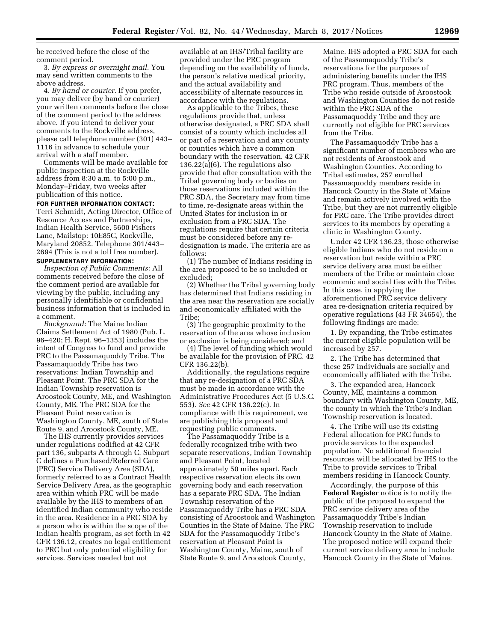be received before the close of the comment period.

3. *By express or overnight mail.* You may send written comments to the above address.

4. *By hand or courier.* If you prefer, you may deliver (by hand or courier) your written comments before the close of the comment period to the address above. If you intend to deliver your comments to the Rockville address, please call telephone number (301) 443– 1116 in advance to schedule your arrival with a staff member.

Comments will be made available for public inspection at the Rockville address from 8:30 a.m. to 5:00 p.m., Monday–Friday, two weeks after publication of this notice.

## **FOR FURTHER INFORMATION CONTACT:**

Terri Schmidt, Acting Director, Office of Resource Access and Partnerships, Indian Health Service, 5600 Fishers Lane, Mailstop: 10E85C, Rockville, Maryland 20852. Telephone 301/443– 2694 (This is not a toll free number).

# **SUPPLEMENTARY INFORMATION:**

*Inspection of Public Comments:* All comments received before the close of the comment period are available for viewing by the public, including any personally identifiable or confidential business information that is included in a comment.

*Background:* The Maine Indian Claims Settlement Act of 1980 (Pub. L. 96–420; H. Rept. 96–1353) includes the intent of Congress to fund and provide PRC to the Passamaquoddy Tribe. The Passamaquoddy Tribe has two reservations: Indian Township and Pleasant Point. The PRC SDA for the Indian Township reservation is Aroostook County, ME, and Washington County, ME. The PRC SDA for the Pleasant Point reservation is Washington County, ME, south of State Route 9, and Aroostook County, ME.

The IHS currently provides services under regulations codified at 42 CFR part 136, subparts A through C. Subpart C defines a Purchased/Referred Care (PRC) Service Delivery Area (SDA), formerly referred to as a Contract Health Service Delivery Area, as the geographic area within which PRC will be made available by the IHS to members of an identified Indian community who reside in the area. Residence in a PRC SDA by a person who is within the scope of the Indian health program, as set forth in 42 CFR 136.12, creates no legal entitlement to PRC but only potential eligibility for services. Services needed but not

available at an IHS/Tribal facility are provided under the PRC program depending on the availability of funds, the person's relative medical priority, and the actual availability and accessibility of alternate resources in accordance with the regulations.

As applicable to the Tribes, these regulations provide that, unless otherwise designated, a PRC SDA shall consist of a county which includes all or part of a reservation and any county or counties which have a common boundary with the reservation. 42 CFR 136.22(a)(6). The regulations also provide that after consultation with the Tribal governing body or bodies on those reservations included within the PRC SDA, the Secretary may from time to time, re-designate areas within the United States for inclusion in or exclusion from a PRC SDA. The regulations require that certain criteria must be considered before any redesignation is made. The criteria are as follows:

(1) The number of Indians residing in the area proposed to be so included or excluded;

(2) Whether the Tribal governing body has determined that Indians residing in the area near the reservation are socially and economically affiliated with the Tribe;

(3) The geographic proximity to the reservation of the area whose inclusion or exclusion is being considered; and

(4) The level of funding which would be available for the provision of PRC. 42 CFR 136.22(b).

Additionally, the regulations require that any re-designation of a PRC SDA must be made in accordance with the Administrative Procedures Act (5 U.S.C. 553). *See* 42 CFR 136.22(c). In compliance with this requirement, we are publishing this proposal and requesting public comments.

The Passamaquoddy Tribe is a federally recognized tribe with two separate reservations, Indian Township and Pleasant Point, located approximately 50 miles apart. Each respective reservation elects its own governing body and each reservation has a separate PRC SDA. The Indian Township reservation of the Passamaquoddy Tribe has a PRC SDA consisting of Aroostook and Washington Counties in the State of Maine. The PRC SDA for the Passamaquoddy Tribe's reservation at Pleasant Point is Washington County, Maine, south of State Route 9, and Aroostook County,

Maine. IHS adopted a PRC SDA for each of the Passamaquoddy Tribe's reservations for the purposes of administering benefits under the IHS PRC program. Thus, members of the Tribe who reside outside of Aroostook and Washington Counties do not reside within the PRC SDA of the Passamaquoddy Tribe and they are currently not eligible for PRC services from the Tribe.

The Passamaquoddy Tribe has a significant number of members who are not residents of Aroostook and Washington Counties. According to Tribal estimates, 257 enrolled Passamaquoddy members reside in Hancock County in the State of Maine and remain actively involved with the Tribe, but they are not currently eligible for PRC care. The Tribe provides direct services to its members by operating a clinic in Washington County.

Under 42 CFR 136.23, those otherwise eligible Indians who do not reside on a reservation but reside within a PRC service delivery area must be either members of the Tribe or maintain close economic and social ties with the Tribe. In this case, in applying the aforementioned PRC service delivery area re-designation criteria required by operative regulations (43 FR 34654), the following findings are made:

1. By expanding, the Tribe estimates the current eligible population will be increased by 257.

2. The Tribe has determined that these 257 individuals are socially and economically affiliated with the Tribe.

3. The expanded area, Hancock County, ME, maintains a common boundary with Washington County, ME, the county in which the Tribe's Indian Township reservation is located.

4. The Tribe will use its existing Federal allocation for PRC funds to provide services to the expanded population. No additional financial resources will be allocated by IHS to the Tribe to provide services to Tribal members residing in Hancock County.

Accordingly, the purpose of this **Federal Register** notice is to notify the public of the proposal to expand the PRC service delivery area of the Passamaquoddy Tribe's Indian Township reservation to include Hancock County in the State of Maine. The proposed notice will expand their current service delivery area to include Hancock County in the State of Maine.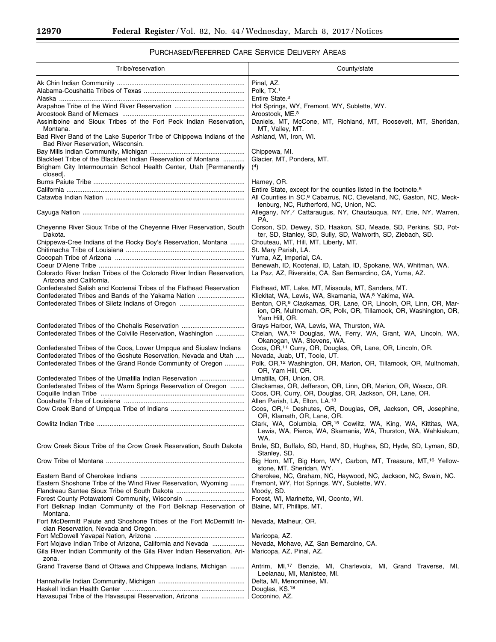-

# PURCHASED/REFERRED CARE SERVICE DELIVERY AREAS

| Tribe/reservation                                                                                                                    | County/state                                                                                                                                        |
|--------------------------------------------------------------------------------------------------------------------------------------|-----------------------------------------------------------------------------------------------------------------------------------------------------|
|                                                                                                                                      | Pinal, AZ.                                                                                                                                          |
|                                                                                                                                      | Polk. TX. <sup>1</sup>                                                                                                                              |
| Alaska ………………………………………………………………………………………                                                                                             | Entire State. <sup>2</sup>                                                                                                                          |
|                                                                                                                                      | Hot Springs, WY, Fremont, WY, Sublette, WY.                                                                                                         |
|                                                                                                                                      | Aroostook, ME. <sup>3</sup>                                                                                                                         |
| Assiniboine and Sioux Tribes of the Fort Peck Indian Reservation,<br>Montana.                                                        | Daniels, MT, McCone, MT, Richland, MT, Roosevelt, MT, Sheridan,<br>MT, Valley, MT.                                                                  |
| Bad River Band of the Lake Superior Tribe of Chippewa Indians of the<br>Bad River Reservation, Wisconsin.                            | Ashland, WI, Iron, WI.                                                                                                                              |
|                                                                                                                                      | Chippewa, MI.                                                                                                                                       |
| Blackfeet Tribe of the Blackfeet Indian Reservation of Montana                                                                       | Glacier, MT, Pondera, MT.                                                                                                                           |
| Brigham City Intermountain School Health Center, Utah [Permanently<br>closed].                                                       | (4)                                                                                                                                                 |
|                                                                                                                                      | Harney, OR.                                                                                                                                         |
|                                                                                                                                      | Entire State, except for the counties listed in the footnote. <sup>5</sup>                                                                          |
|                                                                                                                                      | All Counties in SC, <sup>6</sup> Cabarrus, NC, Cleveland, NC, Gaston, NC, Meck-<br>lenburg, NC, Rutherford, NC, Union, NC.                          |
|                                                                                                                                      | Allegany, NY,7 Cattaraugus, NY, Chautaugua, NY, Erie, NY, Warren,<br>PA.                                                                            |
| Cheyenne River Sioux Tribe of the Cheyenne River Reservation, South<br>Dakota.                                                       | Corson, SD, Dewey, SD, Haakon, SD, Meade, SD, Perkins, SD, Pot-<br>ter, SD, Stanley, SD, Sully, SD, Walworth, SD, Ziebach, SD.                      |
| Chippewa-Cree Indians of the Rocky Boy's Reservation, Montana                                                                        | Chouteau, MT, Hill, MT, Liberty, MT.                                                                                                                |
|                                                                                                                                      | St. Mary Parish, LA.                                                                                                                                |
|                                                                                                                                      | Yuma, AZ, Imperial, CA.                                                                                                                             |
|                                                                                                                                      | Benewah, ID, Kootenai, ID, Latah, ID, Spokane, WA, Whitman, WA.                                                                                     |
| Colorado River Indian Tribes of the Colorado River Indian Reservation.<br>Arizona and California.                                    | La Paz, AZ, Riverside, CA, San Bernardino, CA, Yuma, AZ.                                                                                            |
| Confederated Salish and Kootenai Tribes of the Flathead Reservation                                                                  | Flathead, MT, Lake, MT, Missoula, MT, Sanders, MT.                                                                                                  |
| Confederated Tribes and Bands of the Yakama Nation                                                                                   | Klickitat, WA, Lewis, WA, Skamania, WA, 8 Yakima, WA.<br>Benton, OR, <sup>9</sup> Clackamas, OR, Lane, OR, Lincoln, OR, Linn, OR, Mar-              |
|                                                                                                                                      | ion, OR, Multnomah, OR, Polk, OR, Tillamook, OR, Washington, OR,<br>Yam Hill, OR.                                                                   |
|                                                                                                                                      | Grays Harbor, WA, Lewis, WA, Thurston, WA.                                                                                                          |
| Confederated Tribes of the Colville Reservation, Washington                                                                          | Chelan, WA, <sup>10</sup> Douglas, WA, Ferry, WA, Grant, WA, Lincoln, WA,                                                                           |
|                                                                                                                                      | Okanogan, WA, Stevens, WA.                                                                                                                          |
| Confederated Tribes of the Coos, Lower Umpqua and Siuslaw Indians<br>Confederated Tribes of the Goshute Reservation, Nevada and Utah | Coos, OR, <sup>11</sup> Curry, OR, Douglas, OR, Lane, OR, Lincoln, OR.<br>Nevada, Juab, UT, Toole, UT.                                              |
| Confederated Tribes of the Grand Ronde Community of Oregon                                                                           | Polk, OR, <sup>12</sup> Washington, OR, Marion, OR, Tillamook, OR, Multnomah,<br>OR, Yam Hill, OR.                                                  |
| Confederated Tribes of the Umatilla Indian Reservation                                                                               | Umatilla, OR, Union, OR.                                                                                                                            |
| Confederated Tribes of the Warm Springs Reservation of Oregon                                                                        | Clackamas, OR, Jefferson, OR, Linn, OR, Marion, OR, Wasco, OR.                                                                                      |
|                                                                                                                                      | Coos, OR, Curry, OR, Douglas, OR, Jackson, OR, Lane, OR.                                                                                            |
|                                                                                                                                      | Allen Parish, LA, Elton, LA.13                                                                                                                      |
|                                                                                                                                      | Coos, OR, <sup>14</sup> Deshutes, OR, Douglas, OR, Jackson, OR, Josephine,<br>OR, Klamath, OR, Lane, OR.                                            |
| Cowlitz Indian Tribe                                                                                                                 | Clark, WA, Columbia, OR, <sup>15</sup> Cowlitz, WA, King, WA, Kittitas, WA,<br>Lewis, WA, Pierce, WA, Skamania, WA, Thurston, WA, Wahkiakum,<br>WA. |
| Crow Creek Sioux Tribe of the Crow Creek Reservation, South Dakota                                                                   | Brule, SD, Buffalo, SD, Hand, SD, Hughes, SD, Hyde, SD, Lyman, SD,<br>Stanley, SD.                                                                  |
|                                                                                                                                      | Big Horn, MT, Big Horn, WY, Carbon, MT, Treasure, MT, <sup>16</sup> Yellow-<br>stone, MT, Sheridan, WY.                                             |
|                                                                                                                                      | Cherokee, NC, Graham, NC, Haywood, NC, Jackson, NC, Swain, NC.                                                                                      |
| Eastern Shoshone Tribe of the Wind River Reservation, Wyoming                                                                        | Fremont, WY, Hot Springs, WY, Sublette, WY.                                                                                                         |
|                                                                                                                                      | Moody, SD.                                                                                                                                          |
| Forest County Potawatomi Community, Wisconsin                                                                                        | Forest, WI, Marinette, WI, Oconto, WI.                                                                                                              |
| Fort Belknap Indian Community of the Fort Belknap Reservation of                                                                     | Blaine, MT, Phillips, MT.                                                                                                                           |
| Montana.<br>Fort McDermitt Paiute and Shoshone Tribes of the Fort McDermitt In-<br>dian Reservation, Nevada and Oregon.              | Nevada, Malheur, OR.                                                                                                                                |
|                                                                                                                                      | Maricopa, AZ.                                                                                                                                       |
| Fort Mojave Indian Tribe of Arizona, California and Nevada                                                                           | Nevada, Mohave, AZ, San Bernardino, CA.                                                                                                             |
| Gila River Indian Community of the Gila River Indian Reservation, Ari-<br>zona.                                                      | Maricopa, AZ, Pinal, AZ.                                                                                                                            |
| Grand Traverse Band of Ottawa and Chippewa Indians, Michigan                                                                         | Antrim, MI, <sup>17</sup> Benzie, MI, Charlevoix, MI, Grand Traverse, MI,<br>Leelanau, MI, Manistee, MI.                                            |
|                                                                                                                                      | Delta, MI, Menominee, MI.                                                                                                                           |
|                                                                                                                                      | Douglas, KS. <sup>18</sup>                                                                                                                          |
| Havasupai Tribe of the Havasupai Reservation, Arizona                                                                                | Coconino, AZ.                                                                                                                                       |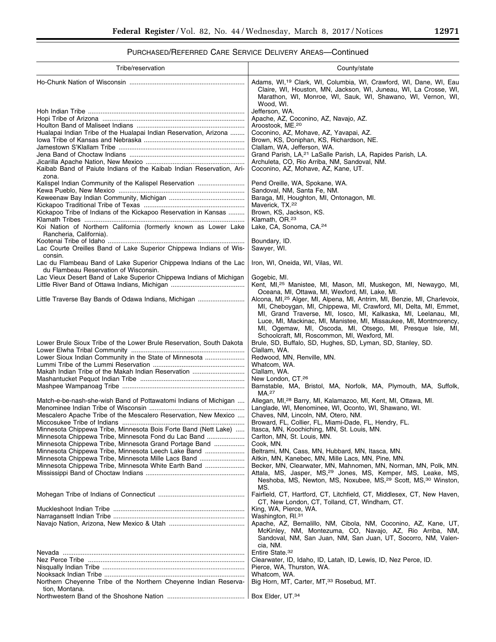# PURCHASED/REFERRED CARE SERVICE DELIVERY AREAS—Continued

| Tribe/reservation                                                                                             | County/state                                                                                                                                                                                                                                                                                    |
|---------------------------------------------------------------------------------------------------------------|-------------------------------------------------------------------------------------------------------------------------------------------------------------------------------------------------------------------------------------------------------------------------------------------------|
|                                                                                                               | Adams, WI, <sup>19</sup> Clark, WI, Columbia, WI, Crawford, WI, Dane, WI, Eau<br>Claire, WI, Houston, MN, Jackson, WI, Juneau, WI, La Crosse, WI,<br>Marathon, WI, Monroe, WI, Sauk, WI, Shawano, WI, Vernon, WI,<br>Wood, WI.                                                                  |
|                                                                                                               | Jefferson, WA.<br>Apache, AZ, Coconino, AZ, Navajo, AZ.                                                                                                                                                                                                                                         |
| Hualapai Indian Tribe of the Hualapai Indian Reservation, Arizona                                             | Aroostook, ME. <sup>20</sup><br>Coconino, AZ, Mohave, AZ, Yavapai, AZ.                                                                                                                                                                                                                          |
|                                                                                                               | Brown, KS, Doniphan, KS, Richardson, NE.                                                                                                                                                                                                                                                        |
|                                                                                                               | Clallam, WA, Jefferson, WA.<br>Grand Parish, LA, <sup>21</sup> LaSalle Parish, LA, Rapides Parish, LA.                                                                                                                                                                                          |
|                                                                                                               | Archuleta, CO, Rio Arriba, NM, Sandoval, NM.                                                                                                                                                                                                                                                    |
| Kaibab Band of Paiute Indians of the Kaibab Indian Reservation, Ari-<br>zona.                                 | Coconino, AZ, Mohave, AZ, Kane, UT.                                                                                                                                                                                                                                                             |
| Kalispel Indian Community of the Kalispel Reservation                                                         | Pend Oreille, WA, Spokane, WA.                                                                                                                                                                                                                                                                  |
|                                                                                                               | Sandoval, NM, Santa Fe, NM.<br>Baraga, MI, Houghton, MI, Ontonagon, MI.                                                                                                                                                                                                                         |
| Kickapoo Tribe of Indians of the Kickapoo Reservation in Kansas                                               | Maverick, TX. <sup>22</sup><br>Brown, KS, Jackson, KS.                                                                                                                                                                                                                                          |
|                                                                                                               | Klamath, OR. <sup>23</sup>                                                                                                                                                                                                                                                                      |
| Koi Nation of Northern California (formerly known as Lower Lake<br>Rancheria, California).                    | Lake, CA, Sonoma, CA.24                                                                                                                                                                                                                                                                         |
|                                                                                                               | Boundary, ID.                                                                                                                                                                                                                                                                                   |
| Lac Courte Oreilles Band of Lake Superior Chippewa Indians of Wis-<br>consin.                                 | Sawyer, WI.                                                                                                                                                                                                                                                                                     |
| Lac du Flambeau Band of Lake Superior Chippewa Indians of the Lac<br>du Flambeau Reservation of Wisconsin.    | Iron, WI, Oneida, WI, Vilas, WI.                                                                                                                                                                                                                                                                |
| Lac Vieux Desert Band of Lake Superior Chippewa Indians of Michigan                                           | Gogebic, MI.<br>Kent, MI, <sup>25</sup> Manistee, MI, Mason, MI, Muskegon, MI, Newaygo, MI,                                                                                                                                                                                                     |
|                                                                                                               | Oceana, MI, Ottawa, MI, Wexford, MI, Lake, MI.                                                                                                                                                                                                                                                  |
| Little Traverse Bay Bands of Odawa Indians, Michigan                                                          | Alcona, MI, <sup>25</sup> Alger, MI, Alpena, MI, Antrim, MI, Benzie, MI, Charlevoix,<br>MI, Cheboygan, MI, Chippewa, MI, Crawford, MI, Delta, MI, Emmet,<br>MI, Grand Traverse, MI, Iosco, MI, Kalkaska, MI, Leelanau, MI,<br>Luce, MI, Mackinac, MI, Manistee, MI, Missaukee, MI, Montmorency, |
|                                                                                                               | MI, Ogemaw, MI, Oscoda, MI, Otsego, MI, Presque Isle, MI,<br>Schoolcraft, MI, Roscommon, MI, Wexford, MI.                                                                                                                                                                                       |
| Lower Brule Sioux Tribe of the Lower Brule Reservation, South Dakota                                          | Brule, SD, Buffalo, SD, Hughes, SD, Lyman, SD, Stanley, SD.                                                                                                                                                                                                                                     |
| Lower Sioux Indian Community in the State of Minnesota                                                        | Clallam, WA.<br>Redwood, MN, Renville, MN.                                                                                                                                                                                                                                                      |
|                                                                                                               | Whatcom, WA.                                                                                                                                                                                                                                                                                    |
| Makah Indian Tribe of the Makah Indian Reservation                                                            | Clallam, WA.<br>New London, CT. <sup>26</sup>                                                                                                                                                                                                                                                   |
|                                                                                                               | Barnstable, MA, Bristol, MA, Norfolk, MA, Plymouth, MA, Suffolk,<br>MA. <sup>27</sup>                                                                                                                                                                                                           |
| Match-e-be-nash-she-wish Band of Pottawatomi Indians of Michigan                                              | Allegan, MI, <sup>28</sup> Barry, MI, Kalamazoo, MI, Kent, MI, Ottawa, MI.<br>Langlade, WI, Menominee, WI, Oconto, WI, Shawano, WI.                                                                                                                                                             |
| Mescalero Apache Tribe of the Mescalero Reservation, New Mexico                                               | Chaves, NM, Lincoln, NM, Otero, NM.                                                                                                                                                                                                                                                             |
| Minnesota Chippewa Tribe, Minnesota Bois Forte Band (Nett Lake)                                               | Broward, FL, Collier, FL, Miami-Dade, FL, Hendry, FL.<br>Itasca, MN, Koochiching, MN, St. Louis, MN.                                                                                                                                                                                            |
| Minnesota Chippewa Tribe, Minnesota Fond du Lac Band                                                          | Carlton, MN, St. Louis, MN.                                                                                                                                                                                                                                                                     |
| Minnesota Chippewa Tribe, Minnesota Grand Portage Band<br>Minnesota Chippewa Tribe, Minnesota Leech Lake Band | Cook, MN.<br>Beltrami, MN, Cass, MN, Hubbard, MN, Itasca, MN.                                                                                                                                                                                                                                   |
| Minnesota Chippewa Tribe, Minnesota Mille Lacs Band<br>Minnesota Chippewa Tribe, Minnesota White Earth Band   | Aitkin, MN, Kanebec, MN, Mille Lacs, MN, Pine, MN.<br>Becker, MN, Clearwater, MN, Mahnomen, MN, Norman, MN, Polk, MN.                                                                                                                                                                           |
|                                                                                                               | Attala, MS, Jasper, MS, <sup>29</sup> Jones, MS, Kemper, MS, Leake, MS,<br>Neshoba, MS, Newton, MS, Noxubee, MS, <sup>29</sup> Scott, MS, <sup>30</sup> Winston,                                                                                                                                |
|                                                                                                               | MS.<br>Fairfield, CT, Hartford, CT, Litchfield, CT, Middlesex, CT, New Haven,<br>CT, New London, CT, Tolland, CT, Windham, CT.                                                                                                                                                                  |
|                                                                                                               | King, WA, Pierce, WA.                                                                                                                                                                                                                                                                           |
|                                                                                                               | Washington, RI. <sup>31</sup><br>Apache, AZ, Bernalillo, NM, Cibola, NM, Coconino, AZ, Kane, UT,                                                                                                                                                                                                |
|                                                                                                               | McKinley, NM, Montezuma, CO, Navajo, AZ, Rio Arriba, NM,<br>Sandoval, NM, San Juan, NM, San Juan, UT, Socorro, NM, Valen-<br>cia, NM.                                                                                                                                                           |
|                                                                                                               | Entire State. <sup>32</sup>                                                                                                                                                                                                                                                                     |
|                                                                                                               | Clearwater, ID, Idaho, ID, Latah, ID, Lewis, ID, Nez Perce, ID.<br>Pierce, WA, Thurston, WA.                                                                                                                                                                                                    |
| Northern Cheyenne Tribe of the Northern Cheyenne Indian Reserva-                                              | Whatcom, WA.<br>Big Horn, MT, Carter, MT, 33 Rosebud, MT.                                                                                                                                                                                                                                       |
| tion, Montana.                                                                                                |                                                                                                                                                                                                                                                                                                 |
|                                                                                                               | Box Elder, UT.34                                                                                                                                                                                                                                                                                |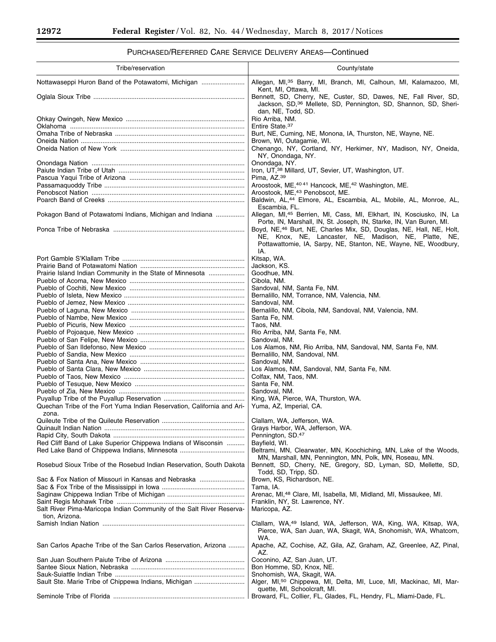۳

# PURCHASED/REFERRED CARE SERVICE DELIVERY AREAS—Continued

| Tribe/reservation                                                                      | County/state                                                                                                                                                                                                       |
|----------------------------------------------------------------------------------------|--------------------------------------------------------------------------------------------------------------------------------------------------------------------------------------------------------------------|
| Nottawaseppi Huron Band of the Potawatomi, Michigan                                    | Allegan, MI, 35 Barry, MI, Branch, MI, Calhoun, MI, Kalamazoo, MI,                                                                                                                                                 |
|                                                                                        | Kent, MI, Ottawa, MI.                                                                                                                                                                                              |
|                                                                                        | Bennett, SD, Cherry, NE, Custer, SD, Dawes, NE, Fall River, SD,<br>Jackson, SD, <sup>36</sup> Mellete, SD, Pennington, SD, Shannon, SD, Sheri-<br>dan, NE, Todd, SD.                                               |
|                                                                                        | Rio Arriba, NM.<br>Entire State. <sup>37</sup>                                                                                                                                                                     |
|                                                                                        | Burt, NE, Cuming, NE, Monona, IA, Thurston, NE, Wayne, NE.                                                                                                                                                         |
|                                                                                        | Brown, WI, Outagamie, WI.                                                                                                                                                                                          |
|                                                                                        | Chenango, NY, Cortland, NY, Herkimer, NY, Madison, NY, Oneida,<br>NY, Onondaga, NY.                                                                                                                                |
|                                                                                        | Onondaga, NY.                                                                                                                                                                                                      |
|                                                                                        | Iron, UT, 38 Millard, UT, Sevier, UT, Washington, UT.                                                                                                                                                              |
|                                                                                        | Pima, AZ.39<br>Aroostook, ME, 4041 Hancock, ME, 42 Washington, ME.                                                                                                                                                 |
|                                                                                        | Aroostook, ME, <sup>43</sup> Penobscot, ME.                                                                                                                                                                        |
|                                                                                        | Baldwin, AL, <sup>44</sup> Elmore, AL, Escambia, AL, Mobile, AL, Monroe, AL,<br>Escambia, FL.                                                                                                                      |
| Pokagon Band of Potawatomi Indians, Michigan and Indiana                               | Allegan, MI, <sup>45</sup> Berrien, MI, Cass, MI, Elkhart, IN, Kosciusko, IN, La<br>Porte, IN, Marshall, IN, St. Joseph, IN, Starke, IN, Van Buren, MI.                                                            |
|                                                                                        | Boyd, NE, <sup>46</sup> Burt, NE, Charles Mix, SD, Douglas, NE, Hall, NE, Holt,<br>NE, Knox, NE, Lancaster, NE, Madison, NE, Platte, NE,<br>Pottawattomie, IA, Sarpy, NE, Stanton, NE, Wayne, NE, Woodbury,<br>IA. |
|                                                                                        | Kitsap, WA.                                                                                                                                                                                                        |
|                                                                                        | Jackson, KS.                                                                                                                                                                                                       |
| Prairie Island Indian Community in the State of Minnesota                              | Goodhue, MN.<br>Cibola, NM.                                                                                                                                                                                        |
|                                                                                        | Sandoval, NM, Santa Fe, NM.                                                                                                                                                                                        |
|                                                                                        | Bernalillo, NM, Torrance, NM, Valencia, NM.<br>Sandoval, NM.                                                                                                                                                       |
|                                                                                        | Bernalillo, NM, Cibola, NM, Sandoval, NM, Valencia, NM.                                                                                                                                                            |
|                                                                                        | Santa Fe, NM.                                                                                                                                                                                                      |
|                                                                                        | Taos, NM.                                                                                                                                                                                                          |
|                                                                                        | Rio Arriba, NM, Santa Fe, NM.<br>Sandoval, NM.                                                                                                                                                                     |
|                                                                                        | Los Alamos, NM, Rio Arriba, NM, Sandoval, NM, Santa Fe, NM.                                                                                                                                                        |
|                                                                                        | Bernalillo, NM, Sandoval, NM.                                                                                                                                                                                      |
|                                                                                        | Sandoval, NM.<br>Los Alamos, NM, Sandoval, NM, Santa Fe, NM.                                                                                                                                                       |
|                                                                                        | Colfax, NM, Taos, NM.                                                                                                                                                                                              |
|                                                                                        | Santa Fe. NM.                                                                                                                                                                                                      |
|                                                                                        | Sandoval, NM.<br>King, WA, Pierce, WA, Thurston, WA.                                                                                                                                                               |
| Quechan Tribe of the Fort Yuma Indian Reservation, California and Ari-                 | Yuma, AZ, Imperial, CA.                                                                                                                                                                                            |
| zona.                                                                                  |                                                                                                                                                                                                                    |
|                                                                                        | Clallam, WA, Jefferson, WA.<br>Grays Harbor, WA, Jefferson, WA.                                                                                                                                                    |
|                                                                                        | Pennington, SD.47                                                                                                                                                                                                  |
| Red Cliff Band of Lake Superior Chippewa Indians of Wisconsin                          | Bayfield, WI.<br>Beltrami, MN, Clearwater, MN, Koochiching, MN, Lake of the Woods,                                                                                                                                 |
|                                                                                        | MN, Marshall, MN, Pennington, MN, Polk, MN, Roseau, MN.                                                                                                                                                            |
| Rosebud Sioux Tribe of the Rosebud Indian Reservation, South Dakota                    | Bennett, SD, Cherry, NE, Gregory, SD, Lyman, SD, Mellette, SD,<br>Todd, SD, Tripp, SD.                                                                                                                             |
| Sac & Fox Nation of Missouri in Kansas and Nebraska                                    | Brown, KS, Richardson, NE.                                                                                                                                                                                         |
|                                                                                        | Tama, IA.<br>Arenac, MI, <sup>48</sup> Clare, MI, Isabella, MI, Midland, MI, Missaukee, MI.                                                                                                                        |
|                                                                                        | Franklin, NY, St. Lawrence, NY.                                                                                                                                                                                    |
| Salt River Pima-Maricopa Indian Community of the Salt River Reserva-<br>tion, Arizona. | Maricopa, AZ.                                                                                                                                                                                                      |
|                                                                                        | Clallam, WA, <sup>49</sup> Island, WA, Jefferson, WA, King, WA, Kitsap, WA,<br>Pierce, WA, San Juan, WA, Skagit, WA, Snohomish, WA, Whatcom,<br>WA.                                                                |
| San Carlos Apache Tribe of the San Carlos Reservation, Arizona                         | Apache, AZ, Cochise, AZ, Gila, AZ, Graham, AZ, Greenlee, AZ, Pinal,<br>AZ.                                                                                                                                         |
|                                                                                        | Coconino, AZ, San Juan, UT.                                                                                                                                                                                        |
|                                                                                        | Bon Homme, SD, Knox, NE.<br>Snohomish, WA, Skagit, WA.                                                                                                                                                             |
| Sault Ste. Marie Tribe of Chippewa Indians, Michigan                                   | Alger, MI, <sup>50</sup> Chippewa, MI, Delta, MI, Luce, MI, Mackinac, MI, Mar-                                                                                                                                     |
|                                                                                        | quette, MI, Schoolcraft, MI.                                                                                                                                                                                       |
|                                                                                        | Broward, FL, Collier, FL, Glades, FL, Hendry, FL, Miami-Dade, FL.                                                                                                                                                  |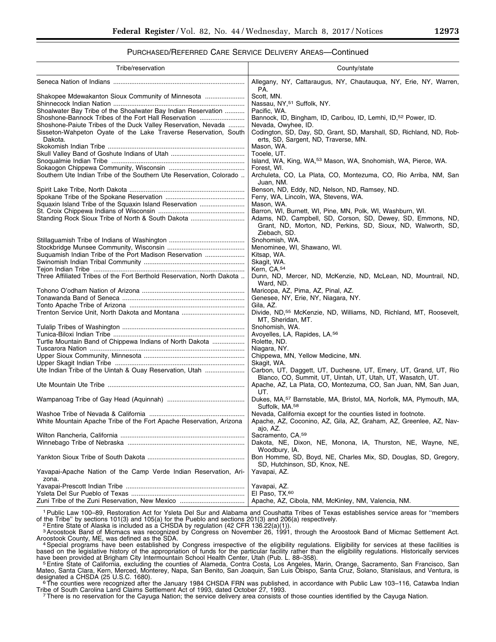## PURCHASED/REFERRED CARE SERVICE DELIVERY AREAS—Continued

| Tribe/reservation                                                          | County/state                                                                                                   |
|----------------------------------------------------------------------------|----------------------------------------------------------------------------------------------------------------|
|                                                                            | Allegany, NY, Cattaraugus, NY, Chautauqua, NY, Erie, NY, Warren,<br>PA.                                        |
| Shakopee Mdewakanton Sioux Community of Minnesota                          | Scott, MN.                                                                                                     |
|                                                                            | Nassau, NY, <sup>51</sup> Suffolk, NY.                                                                         |
| Shoalwater Bay Tribe of the Shoalwater Bay Indian Reservation              | Pacific, WA.                                                                                                   |
| Shoshone-Bannock Tribes of the Fort Hall Reservation                       | Bannock, ID, Bingham, ID, Caribou, ID, Lemhi, ID, 52 Power, ID.                                                |
| Shoshone-Paiute Tribes of the Duck Valley Reservation, Nevada              | Nevada, Owyhee, ID.                                                                                            |
| Sisseton-Wahpeton Oyate of the Lake Traverse Reservation, South<br>Dakota. | Codington, SD, Day, SD, Grant, SD, Marshall, SD, Richland, ND, Rob-<br>erts, SD, Sargent, ND, Traverse, MN.    |
|                                                                            | Mason, WA.                                                                                                     |
|                                                                            | Tooele, UT.                                                                                                    |
|                                                                            | Island, WA, King, WA, 53 Mason, WA, Snohomish, WA, Pierce, WA.                                                 |
|                                                                            | Forest, WI.                                                                                                    |
| Southern Ute Indian Tribe of the Southern Ute Reservation, Colorado        | Archuleta, CO, La Plata, CO, Montezuma, CO, Rio Arriba, NM, San                                                |
|                                                                            | Juan, NM.                                                                                                      |
|                                                                            | Benson, ND, Eddy, ND, Nelson, ND, Ramsey, ND.                                                                  |
|                                                                            | Ferry, WA, Lincoln, WA, Stevens, WA.                                                                           |
| Squaxin Island Tribe of the Squaxin Island Reservation                     | Mason, WA.                                                                                                     |
|                                                                            | Barron, WI, Burnett, WI, Pine, MN, Polk, WI, Washburn, WI.                                                     |
| Standing Rock Sioux Tribe of North & South Dakota                          | Adams, ND, Campbell, SD, Corson, SD, Dewey, SD, Emmons, ND,                                                    |
|                                                                            | Grant, ND, Morton, ND, Perkins, SD, Sioux, ND, Walworth, SD,<br>Ziebach, SD.                                   |
|                                                                            | Snohomish, WA.                                                                                                 |
|                                                                            | Menominee, WI, Shawano, WI.                                                                                    |
| Suquamish Indian Tribe of the Port Madison Reservation                     | Kitsap, WA.                                                                                                    |
|                                                                            | Skagit, WA.                                                                                                    |
|                                                                            | Kern, CA. <sup>54</sup>                                                                                        |
| Three Affiliated Tribes of the Fort Berthold Reservation, North Dakota     | Dunn, ND, Mercer, ND, McKenzie, ND, McLean, ND, Mountrail, ND,                                                 |
|                                                                            | Ward, ND.                                                                                                      |
|                                                                            | Maricopa, AZ, Pima, AZ, Pinal, AZ.                                                                             |
|                                                                            | Genesee, NY, Erie, NY, Niagara, NY.                                                                            |
|                                                                            | Gila, AZ.                                                                                                      |
|                                                                            | Divide, ND, <sup>55</sup> McKenzie, ND, Williams, ND, Richland, MT, Roosevelt,                                 |
|                                                                            | MT, Sheridan, MT.                                                                                              |
|                                                                            | Snohomish, WA.                                                                                                 |
|                                                                            | Avoyelles, LA, Rapides, LA. <sup>56</sup>                                                                      |
| Turtle Mountain Band of Chippewa Indians of North Dakota                   | Rolette, ND.                                                                                                   |
|                                                                            | Niagara, NY.                                                                                                   |
|                                                                            | Chippewa, MN, Yellow Medicine, MN.                                                                             |
|                                                                            | Skagit, WA.                                                                                                    |
| Ute Indian Tribe of the Uintah & Ouay Reservation, Utah                    | Carbon, UT, Daggett, UT, Duchesne, UT, Emery, UT, Grand, UT, Rio                                               |
|                                                                            | Blanco, CO, Summit, UT, Uintah, UT, Utah, UT, Wasatch, UT.                                                     |
|                                                                            | Apache, AZ, La Plata, CO, Montezuma, CO, San Juan, NM, San Juan,                                               |
|                                                                            | UT.                                                                                                            |
|                                                                            | Dukes, MA, <sup>57</sup> Barnstable, MA, Bristol, MA, Norfolk, MA, Plymouth, MA,<br>Suffolk, MA. <sup>58</sup> |
|                                                                            | Nevada, California except for the counties listed in footnote.                                                 |
| White Mountain Apache Tribe of the Fort Apache Reservation, Arizona        | Apache, AZ, Coconino, AZ, Gila, AZ, Graham, AZ, Greenlee, AZ, Nav-                                             |
|                                                                            | ajo, AZ.                                                                                                       |
|                                                                            | Sacramento, CA. <sup>59</sup>                                                                                  |
|                                                                            | Dakota, NE, Dixon, NE, Monona, IA, Thurston, NE, Wayne, NE,                                                    |
|                                                                            | Woodbury, IA.                                                                                                  |
|                                                                            | Bon Homme, SD, Boyd, NE, Charles Mix, SD, Douglas, SD, Gregory,                                                |
|                                                                            | SD, Hutchinson, SD, Knox, NE.                                                                                  |
| Yavapai-Apache Nation of the Camp Verde Indian Reservation, Ari-<br>zona.  | Yavapai, AZ.                                                                                                   |
|                                                                            | Yavapai, AZ.                                                                                                   |
|                                                                            | El Paso, TX. <sup>60</sup>                                                                                     |
| Zuni Tribe of the Zuni Reservation, New Mexico                             | Apache, AZ, Cibola, NM, McKinley, NM, Valencia, NM.                                                            |
|                                                                            |                                                                                                                |

1Public Law 100–89, Restoration Act for Ysleta Del Sur and Alabama and Coushatta Tribes of Texas establishes service areas for ''members

of the Tribe" by sections 101(3) and 105(a) for the Pueblo and sections 201(3) and 206(a) respectively.<br><sup>2</sup> Entire State of Alaska is included as a CHSDA by regulation (42 CFR 136.22(a)(1)).<br><sup>3</sup> Aroostook Band of Micmacs w

Aroostook County, ME, was defined as the SDA.<br>4Special programs have been established by Congress irrespective of the eligibility regulations. Eligibility for services at these facilities is based on the legislative history of the appropriation of funds for the particular facility rather than the eligibility regulations. Historically services have been provided at Brigham City Intermountain School Health Cente

have been provided at Brigham City Intermountain School Health Center, Utah (Pub. L. 88–358).<br><sup>5</sup> Entire State of California, excluding the counties of Alameda, Contra Costa, Los Angeles, Marin, Orange, Sacramento, San Fra Mateo, Santa Clara, Kern, Merced, Monterey, Napa, San Benito, San Joaquin, San Luis Obispo, Santa Cruz, Solano, Stanislaus, and Ventura, is

designated a CHSDA (25 U.S.C. 1680). 6The counties were recognized after the January 1984 CHSDA FRN was published, in accordance with Public Law 103-116, Catawba Indian<br>Tribe of South Carolina Land Claims Settlement Act of

<sup>7</sup> There is no reservation for the Cayuga Nation; the service delivery area consists of those counties identified by the Cayuga Nation.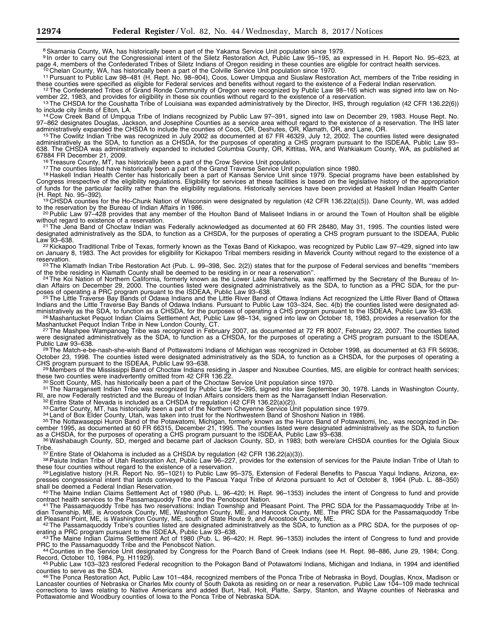<sup>8</sup> Skamania County, WA, has historically been a part of the Yakama Service Unit population since 1979.

9In order to carry out the Congressional intent of the Siletz Restoration Act, Public Law 95-195, as expressed in H. Report No. 95-623, at page 4, members of the Confederated Tribes of Siletz Indians of Oregon residing in

<sup>10</sup> Chelan County, WA, has historically been a part of the Colville Service Unit population since 1970.<br><sup>11</sup> Pursuant to Public Law 98–481 (H. Rept. No. 98–904), Coos, Lower Umpqua and Siuslaw Restoration Act, members of

<sup>12</sup>The Confederated Tribes of Grand Ronde Community of Oregon were recognized by Public Law 98–165 which was signed into law on November 22, 1983, and provides for eligibility in these six counties without regard to the e

<sup>13</sup>The CHSDA for the Coushatta Tribe of Louisiana was expanded administratively by the Director, IHS, through regulation (42 CFR 136.22(6)) to include city limits of Elton, LA.

<sup>14</sup> Cow Creek Band of Umpqua Tribe of Indians recognized by Public Law 97–391, signed into law on December 29, 1983. House Rept. No. 97–862 designates Douglas, Jackson, and Josephine Counties as a service area without regard to the existence of a reservation. The IHS later<br>administratively expanded the CHSDA to include the counties of Coos, OR, Deshutes administratively expanded the CHSDA to include the counties of Coos, OR, Deshutes, OR, Klamath, OR, and Lane, OR.<br><sup>15</sup>The Cowlitz Indian Tribe was recognized in July 2002 as documented at 67 FR 46329, July 12, 2002. The co

administratively as the SDA, to function as a CHSDA, for the purposes of operating a CHS program pursuant to the ISDEAA, Public Law 93– 638. The CHSDA was administratively expanded to included Columbia County, OR, Kittitas, WA, and Wahkiakum County, WA, as published at 67884 FR December 21, 2009.<br><sup>16</sup> Treasure County, MT, has historically been a part of the Crow Service Unit population.<br><sup>17</sup> The counties listed have historically been a part of the Grand Traverse Service Unit population s

Congress irrespective of the eligibility regulations. Eligibility for services at these facilities is based on the legislative history of the appropriation of funds for the particular facility rather than the eligibility regulations. Historically services have been provided at Haskell Indian Health Center<br>(H. Rept. No. 95–392).

<sup>19</sup> CHSDA counties for the Ho-Chunk Nation of Wisconsin were designated by regulation (42 CFR 136.22(a)(5)). Dane County, WI, was added to the reservation by the Bureau of Indian Affairs in 1986.

<sup>20</sup> Public Law 97–428 provides that any member of the Houlton Band of Maliseet Indians in or around the Town of Houlton shall be eligible without regard to existence of a reservation.

<sup>21</sup> The Jena Band of Choctaw Indian was Federally acknowledged as documented at 60 FR 28480, May 31, 1995. The counties listed were designated administratively as the SDA, to function as a CHSDA, for the purposes of operating a CHS program pursuant to the ISDEAA, Public<br>Law 93–638.

<sup>22</sup> Kickapoo Traditional Tribe of Texas, formerly known as the Texas Band of Kickapoo, was recognized by Public Law 97-429, signed into law on January 8, 1983. The Act provides for eligibility for Kickapoo Tribal members residing in Maverick County without regard to the existence of a

reservation. 23 The Klamath Indian Tribe Restoration Act (Pub. L. 99–398, Sec. 2(2)) states that for the purpose of Federal services and benefits "members<br>of the tribe residing in Klamath County shall be deemed to be resid of the tribe residing in Klamath County shall be deemed to be residing in or near a reservation".<br><sup>24</sup> The Koi Nation of Northern California, formerly known as the Lower Lake Rancheria, was reaffirmed by the Secretary of t

dian Affairs on December 29, 2000. The counties listed were designated administratively as the SDA, to function as a PRC SDA, for the purposes of operating a PRC program pursuant to the ISDEAA, Public Law 93–638.<br><sup>25</sup>The Little Traverse Bay Bands of Odawa Indians and the Little River Band of Ottawa Indians Act recognized the Little River Band of Ottawa

Indians and the Little Traverse Bay Bands of Odawa Indians. Pursuant to Public Law 103–324, Sec. 4(b) the counties listed were designated ad-

ministratively as the SDA, to function as a CHSDA, for the purposes of operating a CHS program pursuant to the ISDEAA, Public Law 93–638.<br><sup>26</sup>Mashantucket Pequot Indian Claims Settlement Act, Public Law 98–134, signed into

Mashantucket Pequot Indian Tribe in New London County, CT.<br><sup>27</sup>The Mashpee Wampanoag Tribe was recognized in February 2007, as documented at 72 FR 8007, February 22, 2007. The counties listed were designated administratively as the SDA, to function as a CHSDA, for the purposes of operating a CHS program pursuant to the ISDEAA,<br>Public Law 93–638.

<sup>28</sup> The Match-e-be-nash-she-wish Band of Pottawatomi Indians of Michigan was recognized in October 1998, as documented at 63 FR 56936, October 23, 1998. The counties listed were designated administratively as the SDA, to function as a CHSDA, for the purposes of operating a<br>CHS program pursuant to the ISDEAA, Public Law 93–638.

<sup>29</sup> Members of the Mississippi Band of Choctaw Indians residing in Jasper and Noxubee Counties, MS, are eligible for contract health services;<br>these two counties were inadvertently omitted from 42 CFR 136.22.

<sup>30</sup> Scott County, MS, has historically been a part of the Choctaw Service Unit population since 1970.<br><sup>31</sup> The Narragansett Indian Tribe was recognized by Public Law 95–395, signed into law September 30, 1978. Lands in Wa

RI, are now Federally restricted and the Bureau of Indian Affairs considers them as the Narragansett Indian Reservation.<br><sup>32</sup> Entire State of Nevada is included as a CHSDA by regulation (42 CFR 136.22(a)(2)).<br><sup>33</sup> Carter C cember 1995, as documented at 60 FR 66315, December 21, 1995. The counties listed were designated administratively as the SDA, to function as a CHSDA, for the purposes of operating a CHS program pursuant to the ISDEAA, Public Law 93–638.<br><sup>36</sup>Washabaugh County, SD, merged and became part of Jackson County, SD, in 1983; both were/are CHSDA counties for the Ogla

Tribe.<br><sup>37</sup> Entire State of Oklahoma is included as a CHSDA by regulation (42 CFR 136.22(a)(3)).<br><sup>38</sup> Paiute Indian Tribe of Utah Restoration Act, Public Law 96–227, provides for the extension of services for the Paiute In

these four counties without regard to the existence of a reservation.<br><sup>39</sup> Legislative history (H.R. Report No. 95–1021) to Public Law 95–375, Extension of Federal Benefits to Pascua Yaqui Indians, Arizona, expresses congressional intent that lands conveyed to the Pascua Yaqui Tribe of Arizona pursuant to Act of October 8, 1964 (Pub. L. 88–350)

shall be deemed a Federal Indian Reservation.<br>
<sup>40</sup>The Maine Indian Claims Settlement Act of 1980 (Pub. L. 96–420; H. Rept. 96–1353) includes the intent of Congress to fund and provide<br>
contract health services to the Pass

contract health services to the Passamaquoddy Tribe and the Penobscot Nation.<br>41The Passamaquoddy Tribe has two reservations: Indian Township and Pleasant Point. The PRC SDA for the Passamaquoddy Tribe at Indian Township, ME, is Aroostook County, ME, Washington County, ME, and Hancock County, ME. The PRC SDA for the Passamaquoddy Tribe

42 The Passamaquoddy Tribe's counties listed are designated administratively as the SDA, to function as a PRC SDA, for the purposes of op-

erating a PRC program pursuant to the ISDEAA, Public Law 93–638.<br>
<sup>43</sup>The Maine Indian Claims Settlement Act of 1980 (Pub. L. 96–420; H. Rept. 96–1353) includes the intent of Congress to fund and provide<br>
PRC to the Passam

44 Counties in the Service Unit designated by Congress for the Poarch Band of Creek Indians (see H. Rept. 98–886, June 29, 1984; Cong.<br>Record, October 10, 1984, Pg. H11929).

45 Public Law 103–323 restored Federal recognition to the Pokagon Band of Potawatomi Indians, Michigan and Indiana, in 1994 and identified<br>counties to serve as the SDA.

46 The Ponca Restoration Act, Public Law 101–484, recognized members of the Ponca Tribe of Nebraska in Boyd, Douglas, Knox, Madison or Lancaster counties of Nebraska or Charles Mix county of South Dakota as residing on or near a reservation. Public Law 104–109 made technical corrections to laws relating to Native Americans and added Burt, Hall, Holt, Platte, Sarpy, Stanton, and Wayne counties of Nebraska and Pottawatomie and Woodbury counties of Iowa to the Ponca Tribe of Nebraska SDA.